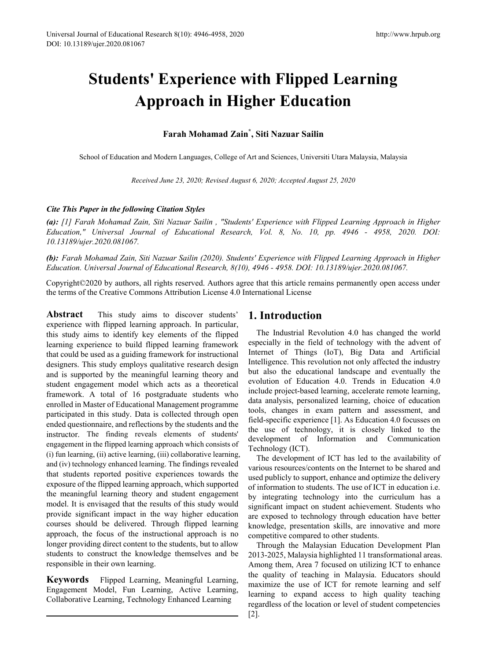# **Students' Experience with Flipped Learning Approach in Higher Education**

**Farah Mohamad Zain\* , Siti Nazuar Sailin**

School of Education and Modern Languages, College of Art and Sciences, Universiti Utara Malaysia, Malaysia

*Received June 23, 2020; Revised August 6, 2020; Accepted August 25, 2020*

## *Cite This Paper in the following Citation Styles*

*(a): [1] Farah Mohamad Zain, Siti Nazuar Sailin , "Students' Experience with Flipped Learning Approach in Higher Education," Universal Journal of Educational Research, Vol. 8, No. 10, pp. 4946 - 4958, 2020. DOI: 10.13189/ujer.2020.081067.* 

*(b): Farah Mohamad Zain, Siti Nazuar Sailin (2020). Students' Experience with Flipped Learning Approach in Higher Education. Universal Journal of Educational Research, 8(10), 4946 - 4958. DOI: 10.13189/ujer.2020.081067.* 

Copyright©2020 by authors, all rights reserved. Authors agree that this article remains permanently open access under the terms of the Creative Commons Attribution License 4.0 International License

**Abstract** This study aims to discover students' experience with flipped learning approach. In particular, this study aims to identify key elements of the flipped learning experience to build flipped learning framework that could be used as a guiding framework for instructional designers. This study employs qualitative research design and is supported by the meaningful learning theory and student engagement model which acts as a theoretical framework. A total of 16 postgraduate students who enrolled in Master of Educational Management programme participated in this study. Data is collected through open ended questionnaire, and reflections by the students and the instructor. The finding reveals elements of students' engagement in the flipped learning approach which consists of (i) fun learning, (ii) active learning, (iii) collaborative learning, and (iv) technology enhanced learning. The findings revealed that students reported positive experiences towards the exposure of the flipped learning approach, which supported the meaningful learning theory and student engagement model. It is envisaged that the results of this study would provide significant impact in the way higher education courses should be delivered. Through flipped learning approach, the focus of the instructional approach is no longer providing direct content to the students, but to allow students to construct the knowledge themselves and be responsible in their own learning.

**Keywords** Flipped Learning, Meaningful Learning, Engagement Model, Fun Learning, Active Learning, Collaborative Learning, Technology Enhanced Learning

# **1. Introduction**

The Industrial Revolution 4.0 has changed the world especially in the field of technology with the advent of Internet of Things (IoT), Big Data and Artificial Intelligence. This revolution not only affected the industry but also the educational landscape and eventually the evolution of Education 4.0. Trends in Education 4.0 include project-based learning, accelerate remote learning, data analysis, personalized learning, choice of education tools, changes in exam pattern and assessment, and field-specific experience [1]. As Education 4.0 focusses on the use of technology, it is closely linked to the development of Information and Communication Technology (ICT).

The development of ICT has led to the availability of various resources/contents on the Internet to be shared and used publicly to support, enhance and optimize the delivery of information to students. The use of ICT in education i.e. by integrating technology into the curriculum has a significant impact on student achievement. Students who are exposed to technology through education have better knowledge, presentation skills, are innovative and more competitive compared to other students.

Through the Malaysian Education Development Plan 2013-2025, Malaysia highlighted 11 transformational areas. Among them, Area 7 focused on utilizing ICT to enhance the quality of teaching in Malaysia. Educators should maximize the use of ICT for remote learning and self learning to expand access to high quality teaching regardless of the location or level of student competencies [2].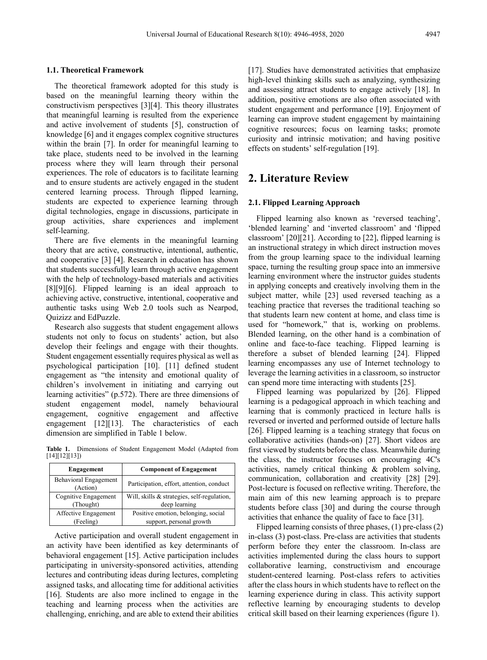#### **1.1. Theoretical Framework**

The theoretical framework adopted for this study is based on the meaningful learning theory within the constructivism perspectives [3][4]. This theory illustrates that meaningful learning is resulted from the experience and active involvement of students [5], construction of knowledge [6] and it engages complex cognitive structures within the brain [7]. In order for meaningful learning to take place, students need to be involved in the learning process where they will learn through their personal experiences. The role of educators is to facilitate learning and to ensure students are actively engaged in the student centered learning process. Through flipped learning, students are expected to experience learning through digital technologies, engage in discussions, participate in group activities, share experiences and implement self-learning.

There are five elements in the meaningful learning theory that are active, constructive, intentional, authentic, and cooperative [3] [4]. Research in education has shown that students successfully learn through active engagement with the help of technology-based materials and activities [8][9][6]. Flipped learning is an ideal approach to achieving active, constructive, intentional, cooperative and authentic tasks using Web 2.0 tools such as Nearpod, Quizizz and EdPuzzle.

Research also suggests that student engagement allows students not only to focus on students' action, but also develop their feelings and engage with their thoughts. Student engagement essentially requires physical as well as psychological participation [10]. [11] defined student engagement as "the intensity and emotional quality of children's involvement in initiating and carrying out learning activities" (p.572). There are three dimensions of student engagement model, namely behavioural engagement, cognitive engagement and affective engagement [12][13]. The characteristics of each dimension are simplified in Table 1 below.

**Table 1.** Dimensions of Student Engagement Model (Adapted from [14][12][13])

| Engagement                        | <b>Component of Engagement</b>              |
|-----------------------------------|---------------------------------------------|
| Behavioral Engagement<br>(Action) | Participation, effort, attention, conduct   |
| Cognitive Engagement              | Will, skills & strategies, self-regulation, |
| (Thought)                         | deep learning                               |
| Affective Engagement              | Positive emotion, belonging, social         |
| (Feeling)                         | support, personal growth                    |

Active participation and overall student engagement in an activity have been identified as key determinants of behavioral engagement [15]. Active participation includes participating in university-sponsored activities, attending lectures and contributing ideas during lectures, completing assigned tasks, and allocating time for additional activities [16]. Students are also more inclined to engage in the teaching and learning process when the activities are challenging, enriching, and are able to extend their abilities

[17]. Studies have demonstrated activities that emphasize high-level thinking skills such as analyzing, synthesizing and assessing attract students to engage actively [18]. In addition, positive emotions are also often associated with student engagement and performance [19]. Enjoyment of learning can improve student engagement by maintaining cognitive resources; focus on learning tasks; promote curiosity and intrinsic motivation; and having positive effects on students' self-regulation [19].

# **2. Literature Review**

#### **2.1. Flipped Learning Approach**

Flipped learning also known as 'reversed teaching', 'blended learning' and 'inverted classroom' and 'flipped classroom' [20][21]. According to [22], flipped learning is an instructional strategy in which direct instruction moves from the group learning space to the individual learning space, turning the resulting group space into an immersive learning environment where the instructor guides students in applying concepts and creatively involving them in the subject matter, while [23] used reversed teaching as a teaching practice that reverses the traditional teaching so that students learn new content at home, and class time is used for "homework," that is, working on problems. Blended learning, on the other hand is a combination of online and face-to-face teaching. Flipped learning is therefore a subset of blended learning [24]. Flipped learning encompasses any use of Internet technology to leverage the learning activities in a classroom, so instructor can spend more time interacting with students [25].

Flipped learning was popularized by [26]. Flipped learning is a pedagogical approach in which teaching and learning that is commonly practiced in lecture halls is reversed or inverted and performed outside of lecture halls [26]. Flipped learning is a teaching strategy that focus on collaborative activities (hands-on) [27]. Short videos are first viewed by students before the class. Meanwhile during the class, the instructor focuses on encouraging 4C's activities, namely critical thinking & problem solving, communication, collaboration and creativity [28] [29]. Post-lecture is focused on reflective writing. Therefore, the main aim of this new learning approach is to prepare students before class [30] and during the course through activities that enhance the quality of face to face [31].

Flipped learning consists of three phases, (1) pre-class (2) in-class (3) post-class. Pre-class are activities that students perform before they enter the classroom. In-class are activities implemented during the class hours to support collaborative learning, constructivism and encourage student-centered learning. Post-class refers to activities after the class hours in which students have to reflect on the learning experience during in class. This activity support reflective learning by encouraging students to develop critical skill based on their learning experiences (figure 1).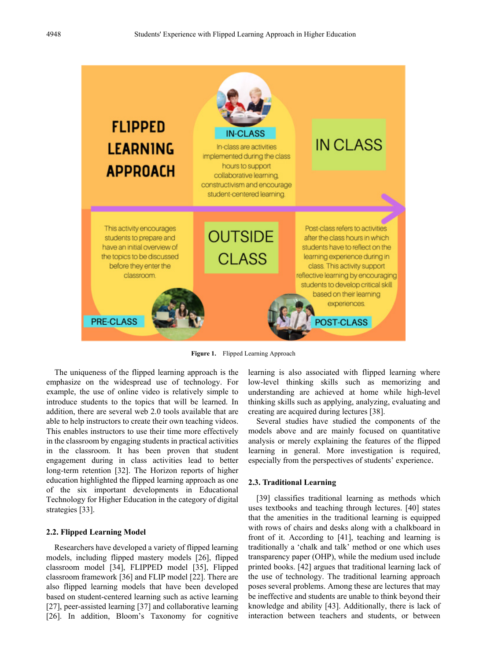

**Figure 1.** Flipped Learning Approach

The uniqueness of the flipped learning approach is the emphasize on the widespread use of technology. For example, the use of online video is relatively simple to introduce students to the topics that will be learned. In addition, there are several web 2.0 tools available that are able to help instructors to create their own teaching videos. This enables instructors to use their time more effectively in the classroom by engaging students in practical activities in the classroom. It has been proven that student engagement during in class activities lead to better long-term retention [32]. The Horizon reports of higher education highlighted the flipped learning approach as one of the six important developments in Educational Technology for Higher Education in the category of digital strategies [33].

#### **2.2. Flipped Learning Model**

Researchers have developed a variety of flipped learning models, including flipped mastery models [26], flipped classroom model [34], FLIPPED model [35], Flipped classroom framework [36] and FLIP model [22]. There are also flipped learning models that have been developed based on student-centered learning such as active learning [27], peer-assisted learning [37] and collaborative learning [26]. In addition, Bloom's Taxonomy for cognitive

learning is also associated with flipped learning where low-level thinking skills such as memorizing and understanding are achieved at home while high-level thinking skills such as applying, analyzing, evaluating and creating are acquired during lectures [38].

Several studies have studied the components of the models above and are mainly focused on quantitative analysis or merely explaining the features of the flipped learning in general. More investigation is required, especially from the perspectives of students' experience.

#### **2.3. Traditional Learning**

[39] classifies traditional learning as methods which uses textbooks and teaching through lectures. [40] states that the amenities in the traditional learning is equipped with rows of chairs and desks along with a chalkboard in front of it. According to [41], teaching and learning is traditionally a 'chalk and talk' method or one which uses transparency paper (OHP), while the medium used include printed books. [42] argues that traditional learning lack of the use of technology. The traditional learning approach poses several problems. Among these are lectures that may be ineffective and students are unable to think beyond their knowledge and ability [43]. Additionally, there is lack of interaction between teachers and students, or between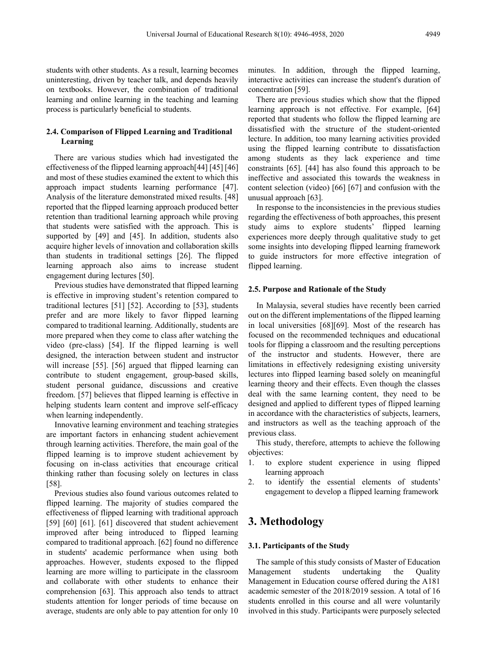students with other students. As a result, learning becomes uninteresting, driven by teacher talk, and depends heavily on textbooks. However, the combination of traditional learning and online learning in the teaching and learning process is particularly beneficial to students.

#### **2.4. Comparison of Flipped Learning and Traditional Learning**

There are various studies which had investigated the effectiveness of the flipped learning approach[44] [45] [46] and most of these studies examined the extent to which this approach impact students learning performance [47]. Analysis of the literature demonstrated mixed results. [48] reported that the flipped learning approach produced better retention than traditional learning approach while proving that students were satisfied with the approach. This is supported by [49] and [45]. In addition, students also acquire higher levels of innovation and collaboration skills than students in traditional settings [26]. The flipped learning approach also aims to increase student engagement during lectures [50].

Previous studies have demonstrated that flipped learning is effective in improving student's retention compared to traditional lectures [51] [52]. According to [53], students prefer and are more likely to favor flipped learning compared to traditional learning. Additionally, students are more prepared when they come to class after watching the video (pre-class) [54]. If the flipped learning is well designed, the interaction between student and instructor will increase [55]. [56] argued that flipped learning can contribute to student engagement, group-based skills, student personal guidance, discussions and creative freedom. [57] believes that flipped learning is effective in helping students learn content and improve self-efficacy when learning independently.

Innovative learning environment and teaching strategies are important factors in enhancing student achievement through learning activities. Therefore, the main goal of the flipped learning is to improve student achievement by focusing on in-class activities that encourage critical thinking rather than focusing solely on lectures in class [58].

Previous studies also found various outcomes related to flipped learning. The majority of studies compared the effectiveness of flipped learning with traditional approach [59] [60] [61]. [61] discovered that student achievement improved after being introduced to flipped learning compared to traditional approach. [62] found no difference in students' academic performance when using both approaches. However, students exposed to the flipped learning are more willing to participate in the classroom and collaborate with other students to enhance their comprehension [63]. This approach also tends to attract students attention for longer periods of time because on average, students are only able to pay attention for only 10

minutes. In addition, through the flipped learning, interactive activities can increase the student's duration of concentration [59].

There are previous studies which show that the flipped learning approach is not effective. For example, [64] reported that students who follow the flipped learning are dissatisfied with the structure of the student-oriented lecture. In addition, too many learning activities provided using the flipped learning contribute to dissatisfaction among students as they lack experience and time constraints [65]. [44] has also found this approach to be ineffective and associated this towards the weakness in content selection (video) [66] [67] and confusion with the unusual approach [63].

In response to the inconsistencies in the previous studies regarding the effectiveness of both approaches, this present study aims to explore students' flipped learning experiences more deeply through qualitative study to get some insights into developing flipped learning framework to guide instructors for more effective integration of flipped learning.

#### **2.5. Purpose and Rationale of the Study**

In Malaysia, several studies have recently been carried out on the different implementations of the flipped learning in local universities [68][69]. Most of the research has focused on the recommended techniques and educational tools for flipping a classroom and the resulting perceptions of the instructor and students. However, there are limitations in effectively redesigning existing university lectures into flipped learning based solely on meaningful learning theory and their effects. Even though the classes deal with the same learning content, they need to be designed and applied to different types of flipped learning in accordance with the characteristics of subjects, learners, and instructors as well as the teaching approach of the previous class.

This study, therefore, attempts to achieve the following objectives:

- 1. to explore student experience in using flipped learning approach
- 2. to identify the essential elements of students' engagement to develop a flipped learning framework

# **3. Methodology**

#### **3.1. Participants of the Study**

The sample of this study consists of Master of Education Management students undertaking the Quality Management in Education course offered during the A181 academic semester of the 2018/2019 session. A total of 16 students enrolled in this course and all were voluntarily involved in this study. Participants were purposely selected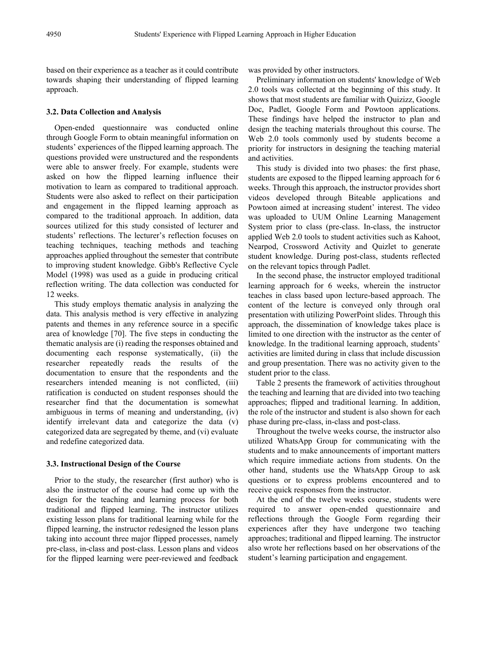based on their experience as a teacher as it could contribute towards shaping their understanding of flipped learning approach.

#### **3.2. Data Collection and Analysis**

Open-ended questionnaire was conducted online through Google Form to obtain meaningful information on students' experiences of the flipped learning approach. The questions provided were unstructured and the respondents were able to answer freely. For example, students were asked on how the flipped learning influence their motivation to learn as compared to traditional approach. Students were also asked to reflect on their participation and engagement in the flipped learning approach as compared to the traditional approach. In addition, data sources utilized for this study consisted of lecturer and students' reflections. The lecturer's reflection focuses on teaching techniques, teaching methods and teaching approaches applied throughout the semester that contribute to improving student knowledge. Gibb's Reflective Cycle Model (1998) was used as a guide in producing critical reflection writing. The data collection was conducted for 12 weeks.

This study employs thematic analysis in analyzing the data. This analysis method is very effective in analyzing patents and themes in any reference source in a specific area of knowledge [70]. The five steps in conducting the thematic analysis are (i) reading the responses obtained and documenting each response systematically, (ii) the researcher repeatedly reads the results of the documentation to ensure that the respondents and the researchers intended meaning is not conflicted, (iii) ratification is conducted on student responses should the researcher find that the documentation is somewhat ambiguous in terms of meaning and understanding, (iv) identify irrelevant data and categorize the data (v) categorized data are segregated by theme, and (vi) evaluate and redefine categorized data.

#### **3.3. Instructional Design of the Course**

Prior to the study, the researcher (first author) who is also the instructor of the course had come up with the design for the teaching and learning process for both traditional and flipped learning. The instructor utilizes existing lesson plans for traditional learning while for the flipped learning, the instructor redesigned the lesson plans taking into account three major flipped processes, namely pre-class, in-class and post-class. Lesson plans and videos for the flipped learning were peer-reviewed and feedback

was provided by other instructors.

Preliminary information on students' knowledge of Web 2.0 tools was collected at the beginning of this study. It shows that most students are familiar with Quizizz, Google Doc, Padlet, Google Form and Powtoon applications. These findings have helped the instructor to plan and design the teaching materials throughout this course. The Web 2.0 tools commonly used by students become a priority for instructors in designing the teaching material and activities.

This study is divided into two phases: the first phase, students are exposed to the flipped learning approach for 6 weeks. Through this approach, the instructor provides short videos developed through Biteable applications and Powtoon aimed at increasing student' interest. The video was uploaded to UUM Online Learning Management System prior to class (pre-class. In-class, the instructor applied Web 2.0 tools to student activities such as Kahoot, Nearpod, Crossword Activity and Quizlet to generate student knowledge. During post-class, students reflected on the relevant topics through Padlet.

In the second phase, the instructor employed traditional learning approach for 6 weeks, wherein the instructor teaches in class based upon lecture-based approach. The content of the lecture is conveyed only through oral presentation with utilizing PowerPoint slides. Through this approach, the dissemination of knowledge takes place is limited to one direction with the instructor as the center of knowledge. In the traditional learning approach, students' activities are limited during in class that include discussion and group presentation. There was no activity given to the student prior to the class.

Table 2 presents the framework of activities throughout the teaching and learning that are divided into two teaching approaches; flipped and traditional learning. In addition, the role of the instructor and student is also shown for each phase during pre-class, in-class and post-class.

Throughout the twelve weeks course, the instructor also utilized WhatsApp Group for communicating with the students and to make announcements of important matters which require immediate actions from students. On the other hand, students use the WhatsApp Group to ask questions or to express problems encountered and to receive quick responses from the instructor.

At the end of the twelve weeks course, students were required to answer open-ended questionnaire and reflections through the Google Form regarding their experiences after they have undergone two teaching approaches; traditional and flipped learning. The instructor also wrote her reflections based on her observations of the student's learning participation and engagement.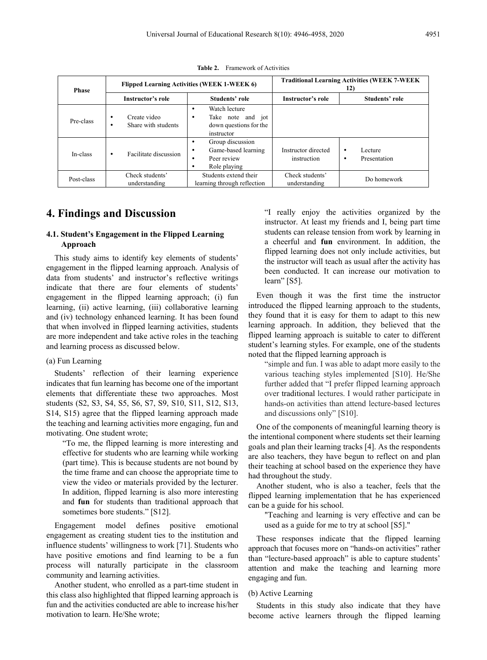| <b>Phase</b> | Flipped Learning Activities (WEEK 1-WEEK 6)   |                                                                                                    | <b>Traditional Learning Activities (WEEK 7-WEEK</b><br>12) |                              |
|--------------|-----------------------------------------------|----------------------------------------------------------------------------------------------------|------------------------------------------------------------|------------------------------|
|              | Instructor's role                             | Students' role                                                                                     | Instructor's role                                          | Students' role               |
| Pre-class    | Create video<br>٠<br>Share with students<br>٠ | Watch lecture<br>٠<br>Take note and jot<br>٠<br>down questions for the<br>instructor               |                                                            |                              |
| In-class     | Facilitate discussion<br>$\bullet$            | Group discussion<br>٠<br>Game-based learning<br>٠<br>Peer review<br>$\bullet$<br>Role playing<br>٠ | Instructor directed<br>instruction                         | Lecture<br>٠<br>Presentation |
| Post-class   | Check students'<br>understanding              | Students extend their<br>learning through reflection                                               | Check students'<br>understanding                           | Do homework                  |

**Table 2.** Framework of Activities

## **4. Findings and Discussion**

#### **4.1. Student's Engagement in the Flipped Learning Approach**

This study aims to identify key elements of students' engagement in the flipped learning approach. Analysis of data from students' and instructor's reflective writings indicate that there are four elements of students' engagement in the flipped learning approach; (i) fun learning, (ii) active learning, (iii) collaborative learning and (iv) technology enhanced learning. It has been found that when involved in flipped learning activities, students are more independent and take active roles in the teaching and learning process as discussed below.

#### (a) Fun Learning

Students' reflection of their learning experience indicates that fun learning has become one of the important elements that differentiate these two approaches. Most students (S2, S3, S4, S5, S6, S7, S9, S10, S11, S12, S13, S14, S15) agree that the flipped learning approach made the teaching and learning activities more engaging, fun and motivating. One student wrote;

"To me, the flipped learning is more interesting and effective for students who are learning while working (part time). This is because students are not bound by the time frame and can choose the appropriate time to view the video or materials provided by the lecturer. In addition, flipped learning is also more interesting and **fun** for students than traditional approach that sometimes bore students." [S12].

Engagement model defines positive emotional engagement as creating student ties to the institution and influence students' willingness to work [71]. Students who have positive emotions and find learning to be a fun process will naturally participate in the classroom community and learning activities.

Another student, who enrolled as a part-time student in this class also highlighted that flipped learning approach is fun and the activities conducted are able to increase his/her motivation to learn. He/She wrote;

"I really enjoy the activities organized by the instructor. At least my friends and I, being part time students can release tension from work by learning in a cheerful and **fun** environment. In addition, the flipped learning does not only include activities, but the instructor will teach as usual after the activity has been conducted. It can increase our motivation to learn" [S5].

Even though it was the first time the instructor introduced the flipped learning approach to the students, they found that it is easy for them to adapt to this new learning approach. In addition, they believed that the flipped learning approach is suitable to cater to different student's learning styles. For example, one of the students noted that the flipped learning approach is

"simple and fun. I was able to adapt more easily to the various teaching styles implemented [S10]. He/She further added that "I prefer flipped learning approach over traditional lectures. I would rather participate in hands-on activities than attend lecture-based lectures and discussions only" [S10].

One of the components of meaningful learning theory is the intentional component where students set their learning goals and plan their learning tracks [4]. As the respondents are also teachers, they have begun to reflect on and plan their teaching at school based on the experience they have had throughout the study.

Another student, who is also a teacher, feels that the flipped learning implementation that he has experienced can be a guide for his school.

"Teaching and learning is very effective and can be used as a guide for me to try at school [S5]."

These responses indicate that the flipped learning approach that focuses more on "hands-on activities" rather than "lecture-based approach" is able to capture students' attention and make the teaching and learning more engaging and fun.

#### (b) Active Learning

Students in this study also indicate that they have become active learners through the flipped learning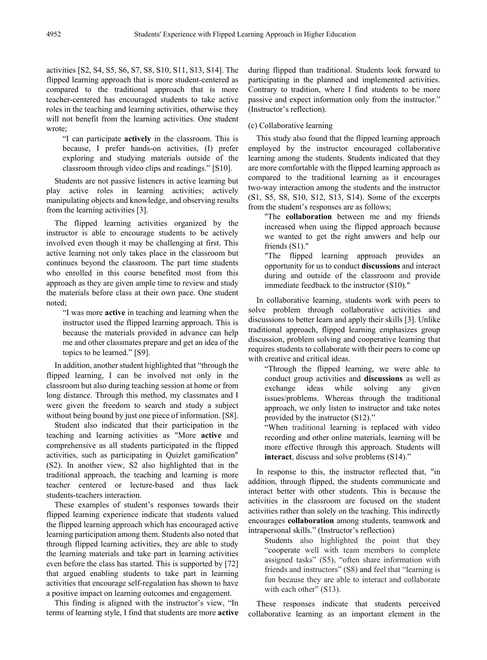activities [S2, S4, S5, S6, S7, S8, S10, S11, S13, S14]. The flipped learning approach that is more student-centered as compared to the traditional approach that is more teacher-centered has encouraged students to take active roles in the teaching and learning activities, otherwise they will not benefit from the learning activities. One student wrote;

"I can participate **actively** in the classroom. This is because, I prefer hands-on activities, (I) prefer exploring and studying materials outside of the classroom through video clips and readings." [S10].

Students are not passive listeners in active learning but play active roles in learning activities; actively manipulating objects and knowledge, and observing results from the learning activities [3].

The flipped learning activities organized by the instructor is able to encourage students to be actively involved even though it may be challenging at first. This active learning not only takes place in the classroom but continues beyond the classroom. The part time students who enrolled in this course benefited most from this approach as they are given ample time to review and study the materials before class at their own pace. One student noted;

"I was more **active** in teaching and learning when the instructor used the flipped learning approach. This is because the materials provided in advance can help me and other classmates prepare and get an idea of the topics to be learned." [S9].

In addition, another student highlighted that "through the flipped learning, I can be involved not only in the classroom but also during teaching session at home or from long distance. Through this method, my classmates and I were given the freedom to search and study a subject without being bound by just one piece of information. [S8].

Student also indicated that their participation in the teaching and learning activities as "More **active** and comprehensive as all students participated in the flipped activities, such as participating in Quizlet gamification" (S2). In another view, S2 also highlighted that in the traditional approach, the teaching and learning is more teacher centered or lecture-based and thus lack students-teachers interaction.

These examples of student's responses towards their flipped learning experience indicate that students valued the flipped learning approach which has encouraged active learning participation among them. Students also noted that through flipped learning activities, they are able to study the learning materials and take part in learning activities even before the class has started. This is supported by [72] that argued enabling students to take part in learning activities that encourage self-regulation has shown to have a positive impact on learning outcomes and engagement.

This finding is aligned with the instructor's view, "In terms of learning style, I find that students are more **active**

during flipped than traditional. Students look forward to participating in the planned and implemented activities. Contrary to tradition, where I find students to be more passive and expect information only from the instructor." (Instructor's reflection).

#### (c) Collaborative learning

This study also found that the flipped learning approach employed by the instructor encouraged collaborative learning among the students. Students indicated that they are more comfortable with the flipped learning approach as compared to the traditional learning as it encourages two-way interaction among the students and the instructor (S1, S5, S8, S10, S12, S13, S14). Some of the excerpts from the student's responses are as follows;

"The **collaboration** between me and my friends increased when using the flipped approach because we wanted to get the right answers and help our friends (S1)."

"The flipped learning approach provides an opportunity for us to conduct **discussions** and interact during and outside of the classroom and provide immediate feedback to the instructor (S10)."

In collaborative learning, students work with peers to solve problem through collaborative activities and discussions to better learn and apply their skills [3]. Unlike traditional approach, flipped learning emphasizes group discussion, problem solving and cooperative learning that requires students to collaborate with their peers to come up with creative and critical ideas.

"Through the flipped learning, we were able to conduct group activities and **discussions** as well as exchange ideas while solving any given issues/problems. Whereas through the traditional approach, we only listen to instructor and take notes provided by the instructor (S12)."

"When traditional learning is replaced with video recording and other online materials, learning will be more effective through this approach. Students will **interact**, discuss and solve problems (S14)."

In response to this, the instructor reflected that, "in addition, through flipped, the students communicate and interact better with other students. This is because the activities in the classroom are focused on the student activities rather than solely on the teaching. This indirectly encourages **collaboration** among students, teamwork and intrapersonal skills." (Instructor's reflection)

Students also highlighted the point that they "cooperate well with team members to complete assigned tasks" (S5), "often share information with friends and instructors" (S8) and feel that "learning is fun because they are able to interact and collaborate with each other" (S13).

These responses indicate that students perceived collaborative learning as an important element in the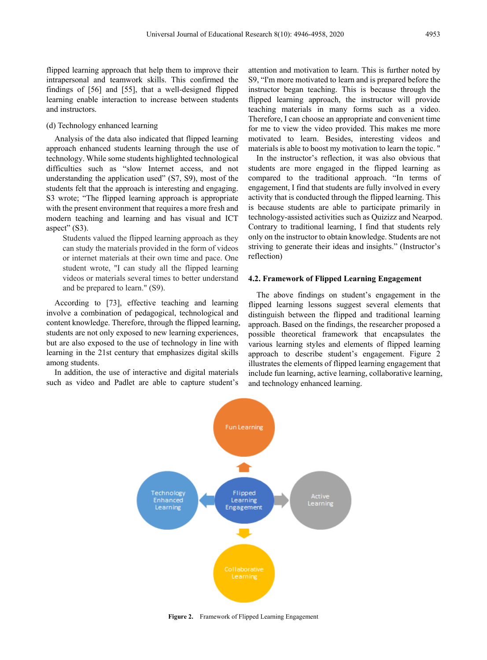flipped learning approach that help them to improve their intrapersonal and teamwork skills. This confirmed the findings of [56] and [55], that a well-designed flipped learning enable interaction to increase between students and instructors.

#### (d) Technology enhanced learning

Analysis of the data also indicated that flipped learning approach enhanced students learning through the use of technology. While some students highlighted technological difficulties such as "slow Internet access, and not understanding the application used" (S7, S9), most of the students felt that the approach is interesting and engaging. S3 wrote; "The flipped learning approach is appropriate with the present environment that requires a more fresh and modern teaching and learning and has visual and ICT aspect" (S3).

Students valued the flipped learning approach as they can study the materials provided in the form of videos or internet materials at their own time and pace. One student wrote, "I can study all the flipped learning videos or materials several times to better understand and be prepared to learn." (S9).

According to [73], effective teaching and learning involve a combination of pedagogical, technological and content knowledge. Therefore, through the flipped learning, students are not only exposed to new learning experiences, but are also exposed to the use of technology in line with learning in the 21st century that emphasizes digital skills among students.

In addition, the use of interactive and digital materials such as video and Padlet are able to capture student's attention and motivation to learn. This is further noted by S9, "I'm more motivated to learn and is prepared before the instructor began teaching. This is because through the flipped learning approach, the instructor will provide teaching materials in many forms such as a video. Therefore, I can choose an appropriate and convenient time for me to view the video provided. This makes me more motivated to learn. Besides, interesting videos and materials is able to boost my motivation to learn the topic. "

In the instructor's reflection, it was also obvious that students are more engaged in the flipped learning as compared to the traditional approach. "In terms of engagement, I find that students are fully involved in every activity that is conducted through the flipped learning. This is because students are able to participate primarily in technology-assisted activities such as Quizizz and Nearpod. Contrary to traditional learning, I find that students rely only on the instructor to obtain knowledge. Students are not striving to generate their ideas and insights." (Instructor's reflection)

#### **4.2. Framework of Flipped Learning Engagement**

The above findings on student's engagement in the flipped learning lessons suggest several elements that distinguish between the flipped and traditional learning approach. Based on the findings, the researcher proposed a possible theoretical framework that encapsulates the various learning styles and elements of flipped learning approach to describe student's engagement. Figure 2 illustrates the elements of flipped learning engagement that include fun learning, active learning, collaborative learning, and technology enhanced learning.



**Figure 2.** Framework of Flipped Learning Engagement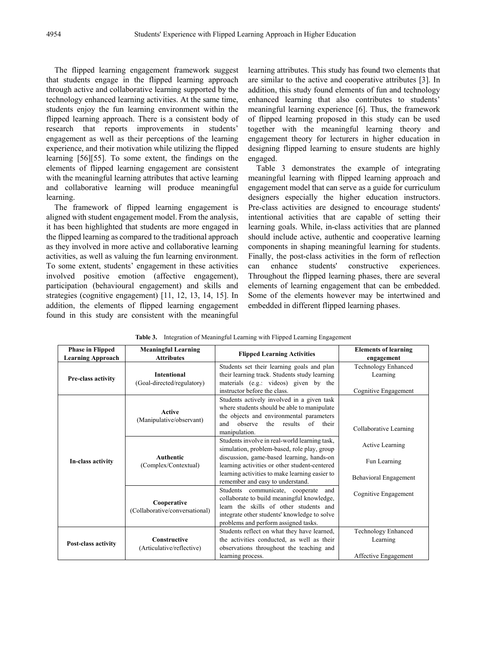The flipped learning engagement framework suggest that students engage in the flipped learning approach through active and collaborative learning supported by the technology enhanced learning activities. At the same time, students enjoy the fun learning environment within the flipped learning approach. There is a consistent body of research that reports improvements in students' engagement as well as their perceptions of the learning experience, and their motivation while utilizing the flipped learning [56][55]. To some extent, the findings on the elements of flipped learning engagement are consistent with the meaningful learning attributes that active learning and collaborative learning will produce meaningful learning.

The framework of flipped learning engagement is aligned with student engagement model. From the analysis, it has been highlighted that students are more engaged in the flipped learning as compared to the traditional approach as they involved in more active and collaborative learning activities, as well as valuing the fun learning environment. To some extent, students' engagement in these activities involved positive emotion (affective engagement), participation (behavioural engagement) and skills and strategies (cognitive engagement) [11, 12, 13, 14, 15]. In addition, the elements of flipped learning engagement found in this study are consistent with the meaningful learning attributes. This study has found two elements that are similar to the active and cooperative attributes [3]. In addition, this study found elements of fun and technology enhanced learning that also contributes to students' meaningful learning experience [6]. Thus, the framework of flipped learning proposed in this study can be used together with the meaningful learning theory and engagement theory for lecturers in higher education in designing flipped learning to ensure students are highly engaged.

Table 3 demonstrates the example of integrating meaningful learning with flipped learning approach and engagement model that can serve as a guide for curriculum designers especially the higher education instructors. Pre-class activities are designed to encourage students' intentional activities that are capable of setting their learning goals. While, in-class activities that are planned should include active, authentic and cooperative learning components in shaping meaningful learning for students. Finally, the post-class activities in the form of reflection can enhance students' constructive experiences. Throughout the flipped learning phases, there are several elements of learning engagement that can be embedded. Some of the elements however may be intertwined and embedded in different flipped learning phases.

| <b>Phase in Flipped</b><br><b>Learning Approach</b> | <b>Meaningful Learning</b><br><b>Attributes</b>  | <b>Flipped Learning Activities</b>                                                                                                                                                                                                                                               | <b>Elements of learning</b><br>engagement                |
|-----------------------------------------------------|--------------------------------------------------|----------------------------------------------------------------------------------------------------------------------------------------------------------------------------------------------------------------------------------------------------------------------------------|----------------------------------------------------------|
| Pre-class activity                                  | <b>Intentional</b><br>(Goal-directed/regulatory) | Students set their learning goals and plan<br>their learning track. Students study learning<br>materials (e.g.: videos) given by the<br>instructor before the class.                                                                                                             | Technology Enhanced<br>Learning<br>Cognitive Engagement  |
| In-class activity                                   | <b>Active</b><br>(Manipulative/observant)        | Students actively involved in a given task<br>where students should be able to manipulate<br>the objects and environmental parameters<br>the results of their<br>and<br>observe<br>manipulation.                                                                                 | Collaborative Learning                                   |
|                                                     | <b>Authentic</b><br>(Complex/Contextual)         | Students involve in real-world learning task,<br>simulation, problem-based, role play, group<br>discussion, game-based learning, hands-on<br>learning activities or other student-centered<br>learning activities to make learning easier to<br>remember and easy to understand. | Active Learning<br>Fun Learning<br>Behavioral Engagement |
|                                                     | Cooperative<br>(Collaborative/conversational)    | Students communicate, cooperate<br>and<br>collaborate to build meaningful knowledge,<br>learn the skills of other students and<br>integrate other students' knowledge to solve<br>problems and perform assigned tasks.                                                           | Cognitive Engagement                                     |
| Post-class activity                                 | <b>Constructive</b><br>(Articulative/reflective) | Students reflect on what they have learned,<br>the activities conducted, as well as their<br>observations throughout the teaching and<br>learning process.                                                                                                                       | Technology Enhanced<br>Learning<br>Affective Engagement  |

**Table 3.** Integration of Meaningful Learning with Flipped Learning Engagement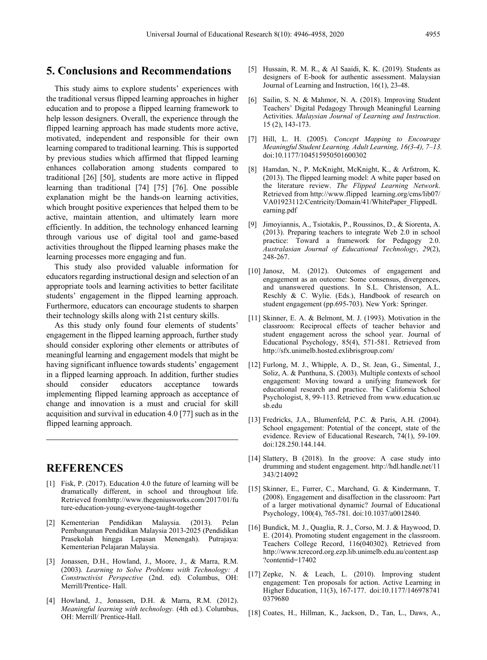## **5. Conclusions and Recommendations**

This study aims to explore students' experiences with the traditional versus flipped learning approaches in higher education and to propose a flipped learning framework to help lesson designers. Overall, the experience through the flipped learning approach has made students more active, motivated, independent and responsible for their own learning compared to traditional learning. This is supported by previous studies which affirmed that flipped learning enhances collaboration among students compared to traditional [26] [50], students are more active in flipped learning than traditional [74] [75] [76]. One possible explanation might be the hands-on learning activities, which brought positive experiences that helped them to be active, maintain attention, and ultimately learn more efficiently. In addition, the technology enhanced learning through various use of digital tool and game-based activities throughout the flipped learning phases make the learning processes more engaging and fun.

This study also provided valuable information for educators regarding instructional design and selection of an appropriate tools and learning activities to better facilitate students' engagement in the flipped learning approach. Furthermore, educators can encourage students to sharpen their technology skills along with 21st century skills.

As this study only found four elements of students' engagement in the flipped learning approach, further study should consider exploring other elements or attributes of meaningful learning and engagement models that might be having significant influence towards students' engagement in a flipped learning approach. In addition, further studies should consider educators acceptance towards implementing flipped learning approach as acceptance of change and innovation is a must and crucial for skill acquisition and survival in education 4.0 [77] such as in the flipped learning approach.

## **REFERENCES**

- [1] Fisk, P. (2017). Education 4.0 the future of learning will be dramatically different, in school and throughout life. Retrieved fromhttp://www.thegeniusworks.com/2017/01/fu ture-education-young-everyone-taught-together
- [2] Kementerian Pendidikan Malaysia. (2013). Pelan Pembangunan Pendidikan Malaysia 2013-2025 (Pendidikan Prasekolah hingga Lepasan Menengah). Putrajaya: Kementerian Pelajaran Malaysia.
- [3] Jonassen, D.H., Howland, J., Moore, J., & Marra, R.M. (2003). *Learning to Solve Problems with Technology: A Constructivist Perspective* (2nd. ed). Columbus, OH: Merrill/Prentice- Hall.
- [4] Howland, J., Jonassen, D.H. & Marra, R.M. (2012). *Meaningful learning with technology.* (4th ed.). Columbus, OH: Merrill/ Prentice-Hall.
- [5] Hussain, R. M. R., & Al Saaidi, K. K. (2019). Students as designers of E-book for authentic assessment. Malaysian Journal of Learning and Instruction, 16(1), 23-48.
- [6] Sailin, S. N. & Mahmor, N. A. (2018). Improving Student Teachers' Digital Pedagogy Through Meaningful Learning Activities. *Malaysian Journal of Learning and Instruction*. 15 (2), 143-173.
- [7] Hill, L. H. (2005). *Concept Mapping to Encourage Meaningful Student Learning. Adult Learning, 16(3-4), 7–13.* doi:10.1177/104515950501600302
- [8] Hamdan, N., P. McKnight, McKnight, K., & Arfstrom, K. (2013). The flipped learning model: A white paper based on the literature review. *The Flipped Learning Network*. Retrieved from http://www.flipped learning.org/cms/lib07/ VA01923112/Centricity/Domain/41/WhitePaper\_FlippedL earning.pdf
- [9] Jimoyiannis, A., Tsiotakis, P., Roussinos, D., & Siorenta, A. (2013). Preparing teachers to integrate Web 2.0 in school practice: Toward a framework for Pedagogy 2.0. *Australasian Journal of Educational Technology*, *29*(2), 248-267.
- [10] Janosz, M. (2012). Outcomes of engagement and engagement as an outcome: Some consensus, divergences, and unanswered questions. In S.L. Christenson, A.L. Reschly & C. Wylie. (Eds.), Handbook of research on student engagement (pp.695-703). New York: Springer.
- [11] Skinner, E. A. & Belmont, M. J. (1993). Motivation in the classroom: Reciprocal effects of teacher behavior and student engagement across the school year. Journal of Educational Psychology, 85(4), 571-581. Retrieved from http://sfx.unimelb.hosted.exlibrisgroup.com/
- [12] Furlong, M. J., Whipple, A. D., St. Jean, G., Simental, J., Soliz, A. & Punthuna, S. (2003). Multiple contexts of school engagement: Moving toward a unifying framework for educational research and practice. The California School Psychologist, 8, 99-113. Retrieved from www.education.uc sb.edu
- [13] Fredricks, J.A., Blumenfeld, P.C. & Paris, A.H. (2004). School engagement: Potential of the concept, state of the evidence. Review of Educational Research, 74(1), 59-109. doi:128.250.144.144.
- [14] Slattery, B (2018). In the groove: A case study into drumming and student engagement. http://hdl.handle.net/11 343/214092
- [15] Skinner, E., Furrer, C., Marchand, G. & Kindermann, T. (2008). Engagement and disaffection in the classroom: Part of a larger motivational dynamic? Journal of Educational Psychology, 100(4), 765-781. doi:10.1037/a0012840.
- [16] Bundick, M. J., Quaglia, R. J., Corso, M. J. & Haywood, D. E. (2014). Promoting student engagement in the classroom. Teachers College Record, 116(040302). Retrieved from http://www.tcrecord.org.ezp.lib.unimelb.edu.au/content.asp ?contentid=17402
- [17] Zepke, N. & Leach, L. (2010). Improving student engagement: Ten proposals for action. Active Learning in Higher Education, 11(3), 167-177. doi:10.1177/146978741 0379680
- [18] Coates, H., Hillman, K., Jackson, D., Tan, L., Daws, A.,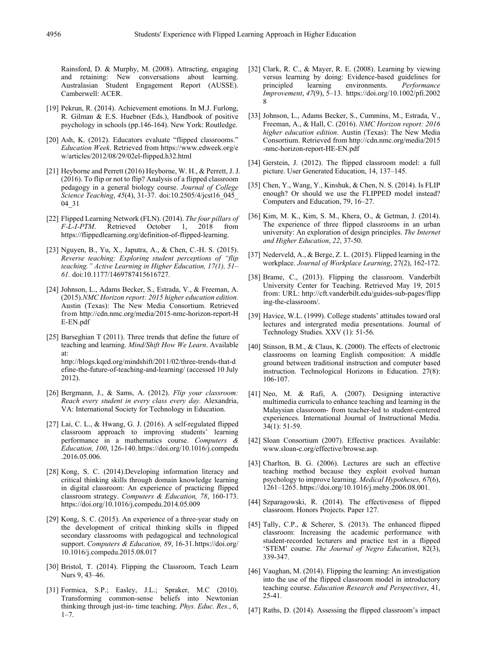Rainsford, D. & Murphy, M. (2008). Attracting, engaging and retaining: New conversations about learning. Australasian Student Engagement Report (AUSSE). Camberwell: ACER.

- [19] Pekrun, R. (2014). Achievement emotions. In M.J. Furlong, R. Gilman & E.S. Huebner (Eds.), Handbook of positive psychology in schools (pp.146-164). New York: Routledge.
- [20] Ash, K. (2012). Educators evaluate "flipped classrooms." *Education Week*. Retrieved from https://www.edweek.org/e w/articles/2012/08/29/02el-flipped.h32.html
- [21] Heyborne and Perrett (2016) Heyborne, W. H., & Perrett, J. J. (2016). To flip or not to flip? Analysis of a flipped classroom pedagogy in a general biology course. *Journal of College Science Teaching*, *45*(4), 31-37. doi:10.2505/4/jcst16\_045\_ 04\_31
- [22] Flipped Learning Network (FLN). (2014). *The four pillars of* 1, 2018 from https://flippedlearning.org/definition-of-flipped-learning.
- [23] Nguyen, B., Yu, X., Japutra, A., & Chen, C.-H. S. (2015). *Reverse teaching: Exploring student perceptions of "flip teaching." Active Learning in Higher Education, 17(1), 51– 61.* doi:10.1177/1469787415616727.
- [24] Johnson, L., Adams Becker, S., Estrada, V., & Freeman, A. (2015).*NMC Horizon report: 2015 higher education edition.* Austin (Texas): The New Media Consortium. Retrieved from http://cdn.nmc.org/media/2015-nmc-horizon-report-H E-EN.pdf
- [25] Barseghian T (2011). Three trends that define the future of teaching and learning. *Mind/Shift How We Learn*. Available at: http://blogs.kqed.org/mindshift/2011/02/three-trends-that-d efine-the-future-of-teaching-and-learning/ (accessed 10 July 2012).
- [26] Bergmann, J., & Sams, A. (2012). *Flip your classroom: Reach every student in every class every day.* Alexandria, VA: International Society for Technology in Education.
- [27] Lai, C. L., & Hwang, G. J. (2016). A self-regulated flipped classroom approach to improving students' learning performance in a mathematics course. *Computers & Education, 100*, 126-140. https://doi.org/10.1016/j.compedu .2016.05.006.
- [28] Kong, S. C. (2014). Developing information literacy and critical thinking skills through domain knowledge learning in digital classroom: An experience of practicing flipped classroom strategy. *Computers & Education, 78*, 160-173. https://doi.org/10.1016/j.compedu.2014.05.009
- [29] Kong, S. C. (2015). An experience of a three-year study on the development of critical thinking skills in flipped secondary classrooms with pedagogical and technological support. *Computers & Education, 89*, 16-31.https://doi.org/ 10.1016/j.compedu.2015.08.017
- [30] Bristol, T. (2014). Flipping the Classroom, Teach Learn Nurs 9, 43–46.
- [31] Formica, S.P.; Easley, J.L.; Spraker, M.C (2010). Transforming common-sense beliefs into Newtonian thinking through just-in- time teaching. *Phys. Educ. Res.*, *6*,  $1 - 7$ .
- [32] Clark, R. C., & Mayer, R. E. (2008). Learning by viewing versus learning by doing: Evidence-based guidelines for principled learning environments. *Performance* principled learning environments. *Performance Improvement*, *47*(9), 5–13. https://doi.org/10.1002/pfi.2002 8
- [33] Johnson, L., Adams Becker, S., Cummins, M., Estrada, V., Freeman, A., & Hall, C. (2016). *NMC Horizon report: 2016 higher education edition*. Austin (Texas): The New Media Consortium. Retrieved from http://cdn.nmc.org/media/2015 -nmc-horizon-report-HE-EN.pdf
- [34] Gerstein, J. (2012). The flipped classroom model: a full picture. User Generated Education, 14, 137–145.
- [35] Chen, Y., Wang, Y., Kinshuk, & Chen, N. S. (2014). Is FLIP enough? Or should we use the FLIPPED model instead? Computers and Education, 79, 16–27.
- [36] Kim, M. K., Kim, S. M., Khera, O., & Getman, J. (2014). The experience of three flipped classrooms in an urban university: An exploration of design principles. *The Internet and Higher Education*, *22*, 37-50.
- [37] Nederveld, A., & Berge, Z. L. (2015). Flipped learning in the workplace. *Journal of Workplace Learning*, 27(2), 162-172.
- [38] Brame, C., (2013). Flipping the classroom. Vanderbilt University Center for Teaching. Retrieved May 19, 2015 from: URL: http://cft.vanderbilt.edu/guides-sub-pages/flipp ing-the-classroom/.
- [39] Havice, W.L. (1999). College students' attitudes toward oral lectures and intergrated media presentations. Journal of Technology Studies. XXV (1): 51-56.
- [40] Stinson, B.M., & Claus, K. (2000). The effects of electronic classrooms on learning English composition: A middle ground between traditional instruction and computer based instruction. Technological Horizons in Education. 27(8): 106-107.
- [41] Neo, M. & Rafi, A. (2007). Designing interactive multimedia curricula to enhance teaching and learning in the Malaysian classroom- from teacher-led to student-centered experiences. International Journal of Instructional Media. 34(1): 51-59.
- [42] Sloan Consortium (2007). Effective practices. Available: www.sloan-c.org/effective/browse.asp.
- [43] Charlton, B. G. (2006). Lectures are such an effective teaching method because they exploit evolved human psychology to improve learning. *Medical Hypotheses, 67*(6), 1261–1265. https://doi.org/10.1016/j.mehy.2006.08.001.
- [44] Szparagowski, R. (2014). The effectiveness of flipped classroom. Honors Projects. Paper 127.
- [45] Tally, C.P., & Scherer, S. (2013). The enhanced flipped classroom: Increasing the academic performance with student-recorded lecturers and practice test in a flipped 'STEM' course. *The Journal of Negro Education*, 82(3), 339-347.
- [46] Vaughan, M. (2014). Flipping the learning: An investigation into the use of the flipped classroom model in introductory teaching course. *Education Research and Perspectives*, 41, 25-41.
- [47] Raths, D. (2014). Assessing the flipped classroom's impact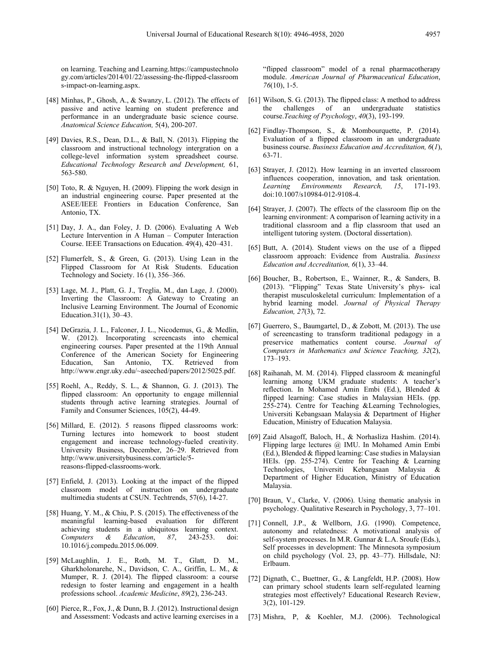on learning. Teaching and Learning.https://campustechnolo gy.com/articles/2014/01/22/assessing-the-flipped-classroom s-impact-on-learning.aspx.

- [48] Minhas, P., Ghosh, A., & Swanzy, L. (2012). The effects of passive and active learning on student preference and performance in an undergraduate basic science course. *Anatomical Science Education,* 5(4), 200-207.
- [49] Davies, R.S., Dean, D.L., & Ball, N. (2013). Flipping the classroom and instructional technology intergration on a college-level information system spreadsheet course. *Educational Technology Research and Development,* 61, 563-580.
- [50] Toto, R. & Nguyen, H. (2009). Flipping the work design in an industrial engineering course. Paper presented at the ASEE/IEEE Frontiers in Education Conference, San Antonio, TX.
- [51] Day, J. A., dan Foley, J. D. (2006). Evaluating A Web Lecture Intervention in A Human – Computer Interaction Course. IEEE Transactions on Education. 49(4), 420–431.
- [52] Flumerfelt, S., & Green, G. (2013). Using Lean in the Flipped Classroom for At Risk Students. Education Technology and Society. 16 (1), 356–366.
- [53] Lage, M. J., Platt, G. J., Treglia, M., dan Lage, J. (2000). Inverting the Classroom: A Gateway to Creating an Inclusive Learning Environment. The Journal of Economic Education.31(1), 30–43.
- [54] DeGrazia, J. L., Falconer, J. L., Nicodemus, G., & Medlin, W. (2012). Incorporating screencasts into chemical engineering courses. Paper presented at the 119th Annual Conference of the American Society for Engineering<br>Education, San Antonio, TX. Retrieved from Education, San Antonio, TX. Retrieved from http://www.engr.uky.edu/~aseeched/papers/2012/5025.pdf.
- [55] Roehl, A., Reddy, S. L., & Shannon, G. J. (2013). The flipped classroom: An opportunity to engage millennial students through active learning strategies. Journal of Family and Consumer Sciences, 105(2), 44-49.
- [56] Millard, E. (2012). 5 reasons flipped classrooms work: Turning lectures into homework to boost student engagement and increase technology-fueled creativity. University Business, December, 26–29. Retrieved from http://www.universitybusiness.com/article/5 reasons-flipped-classrooms-work.
- [57] Enfield, J. (2013). Looking at the impact of the flipped classroom model of instruction on undergraduate multimedia students at CSUN. Techtrends, 57(6), 14-27.
- [58] Huang, Y. M., & Chiu, P. S. (2015). The effectiveness of the meaningful learning-based evaluation for different achieving students in a ubiquitous learning context. *Computers & Education*, *87*, 243-253. doi: 10.1016/j.compedu.2015.06.009.
- [59] McLaughlin, J. E., Roth, M. T., Glatt, D. M., Gharkholonarehe, N., Davidson, C. A., Griffin, L. M., & Mumper, R. J. (2014). The flipped classroom: a course redesign to foster learning and engagement in a health professions school. *Academic Medicine*, *89*(2), 236-243.
- [60] Pierce, R., Fox, J., & Dunn, B. J. (2012). Instructional design and Assessment: Vodcasts and active learning exercises in a

"flipped classroom" model of a renal pharmacotherapy module. *American Journal of Pharmaceutical Education*, *76*(10), 1-5.

- [61] Wilson, S. G. (2013). The flipped class: A method to address challenges of an undergraduate course.*Teaching of Psychology*, *40*(3), 193-199.
- [62] Findlay-Thompson, S., & Mombourquette, P. (2014). Evaluation of a flipped classroom in an undergraduate business course. *Business Education and Accreditation, 6*(*1*), 63-71.
- [63] Strayer, J. (2012). How learning in an inverted classroom influences cooperation, innovation, and task orientation. *Learning Environments Research, 15*, 171-193. doi:10.1007/s10984-012-9108-4.
- [64] Strayer, J. (2007). The effects of the classroom flip on the learning environment: A comparison of learning activity in a traditional classroom and a flip classroom that used an intelligent tutoring system. (Doctoral dissertation).
- [65] Butt, A. (2014). Student views on the use of a flipped classroom approach: Evidence from Australia. *Business Education and Accreditation, 6*(1), 33–44.
- [66] Boucher, B., Robertson, E., Wainner, R., & Sanders, B. (2013). "Flipping" Texas State University's phys- ical therapist musculoskeletal curriculum: Implementation of a hybrid learning model. *Journal of Physical Therapy Education, 27*(3), 72.
- [67] Guerrero, S., Baumgartel, D., & Zobott, M. (2013). The use of screencasting to transform traditional pedagogy in a preservice mathematics content course. *Journal of Computers in Mathematics and Science Teaching, 32*(2), 173–193.
- [68] Raihanah, M. M. (2014). Flipped classroom & meaningful learning among UKM graduate students: A teacher's reflection. In Mohamed Amin Embi (Ed.), Blended & flipped learning: Case studies in Malaysian HEIs. (pp. 255-274). Centre for Teaching &Learning Technologies, Universiti Kebangsaan Malaysia & Department of Higher Education, Ministry of Education Malaysia.
- [69] Zaid Alsagoff, Baloch, H., & Norhasliza Hashim. (2014). Flipping large lectures @ IMU. In Mohamed Amin Embi (Ed.), Blended & flipped learning: Case studies in Malaysian HEIs. (pp. 255-274). Centre for Teaching & Learning Technologies, Universiti Kebangsaan Malaysia & Department of Higher Education, Ministry of Education Malaysia.
- [70] Braun, V., Clarke, V. (2006). Using thematic analysis in psychology. Qualitative Research in Psychology, 3, 77–101.
- [71] Connell, J.P., & Wellborn, J.G. (1990). Competence, autonomy and relatedness: A motivational analysis of self-system processes. In M.R. Gunnar & L.A. Sroufe (Eds.), Self processes in development: The Minnesota symposium on child psychology (Vol. 23, pp. 43–77). Hillsdale, NJ: Erlbaum.
- [72] Dignath, C., Buettner, G., & Langfeldt, H.P. (2008). How can primary school students learn self-regulated learning strategies most effectively? Educational Research Review, 3(2), 101-129.
- [73] Mishra, P, & Koehler, M.J. (2006). Technological